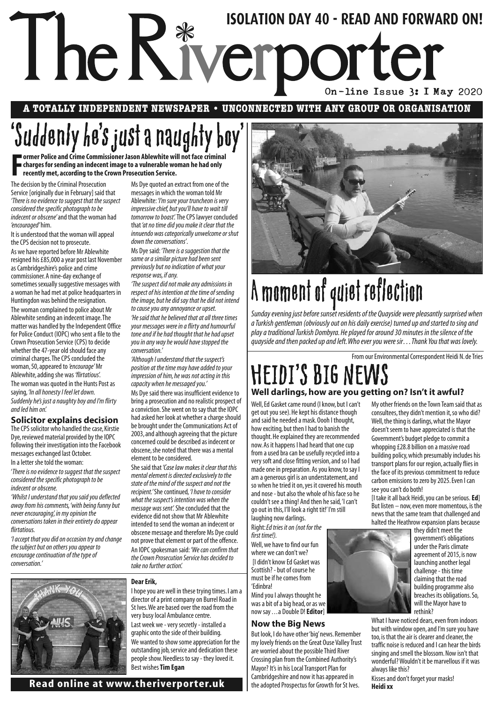## The Riverporter Susan Properties On-line Issue 3: 1 May 2020 **ISOLATION DAY 40 - READ AND FORWARD ON!**

**A TOTALLY INDEPENDENT NEWSPAPER • UNCONNECTED WITH ANY GROUP OR ORGANISATION**

## 'Suddenly he's just a naughty boy'

Former Police and Crime Commissioner Jason Ablewhite will not face criminal<br>
charges for sending an indecent image to a vulnerable woman he had only<br>
recently met, according to the Crown Prosecution Service. **charges for sending an indecent image to a vulnerable woman he had only recently met, according to the Crown Prosecution Service.**

The decision by the Criminal Prosecution Service [originally due in February] said that *'There is no evidence to suggest that the suspect considered the specific photograph to be indecent or obscene'* and that the woman had *'encouraged'* him.

It is understood that the woman will appeal the CPS decision not to prosecute.

As we have reported before Mr Ablewhite resigned his £85,000 a year post last November as Cambridgeshire's police and crime commissioner. A nine-day exchange of sometimes sexually suggestive messages with a woman he had met at police headquarters in Huntingdon was behind the resignation. The woman complained to police about Mr Ablewhite sending an indecent image. The matter was handled by the Independent Office for Police Conduct (IOPC) who sent a file to the Crown Prosecution Service (CPS) to decide whether the 47-year old should face any criminal charges. The CPS concluded the woman, 50, appeared to *'encourage'* Mr Ablewhite, adding she was *'flirtatious*'. The woman was quoted in the Hunts Post as saying, *'In all honesty I feel let down.* 

*Suddenly he's just a naughty boy and I'm flirty and led him on'.*

#### **Solicitor explains decision**

The CPS solicitor who handled the case, Kirstie Dye, reviewed material provided by the IOPC following their investigation into the Facebook messages exchanged last October. In a letter she told the woman:

'*There is no evidence to suggest that the suspect considered the specific photograph to be indecent or obscene.*

*'Whilst I understand that you said you deflected away from his comments, 'with being funny but never encouraging', in my opinion the conversations taken in their entirety do appear flirtatious.*

*'I accept that you did on occasion try and change the subject but on others you appear to encourage continuation of the type of conversation.'*

Ms Dye quoted an extract from one of the messages in which the woman told Mr Ablewhite: *'I'm sure your truncheon is very impressive chief, but you'll have to wait till tomorrow to boast'.*The CPS lawyer concluded that*'at no time did you make it clear that the innuendo was categorically unwelcome or shut down the conversations'*.

Ms Dye said: *'There is a suggestion that the same or a similar picture had been sent previously but no indication of what your response was, if any.*

*'The suspect did not make any admissions in respect of his intention at the time of sending the image, but he did say that he did not intend to cause you any annoyance or upset. 'He said that he believed that at all three times your messages were in a flirty and humourful tone and if he had thought that he had upset you in any way he would have stopped the conversation.'*

*'Although I understand that the suspect's position at the time may have added to your impression of him, he was not acting in this capacity when he messaged you.'*

Ms Dye said there was insufficient evidence to bring a prosecution and no realistic prospect of a conviction. She went on to say that the IOPC had asked her look at whether a charge should be brought under the Communications Act of 2003, and although agreeing that the picture concerned could be described as indecent or obscene, she noted that there was a mental element to be considered.

She said that*'Case law makes it clear that this mental element is directed exclusively to the state of the mind of the suspect and not the recipient.'* She continued, *'I have to consider what the suspect's intention was when the message was sent'.*She concluded that the evidence did not show that Mr Ablewhite intended to send the woman an indecent or obscene message and therefore Ms Dye could not prove that element or part of the offence. An IOPC spokesman said: *'We can confirm that the Crown Prosecution Service has decided to take no further action'.*

#### **Dear Erik,**

I hope you are well in these trying times. I am a director of a print company on Burrel Road in St Ives. We are based over the road from the very busy local Ambulance centre. Last week we - very secretly - installed a graphic onto the side of their building. We wanted to show some appreciation for the outstanding job, service and dedication these people show. Needless to say - they loved it. Best wishes**Tim Egan**



## HEIDI'S BIG NEV **Well darlings, how are you getting on? Isn't it awful?**

Well, Ed Gasket came round (I know, but I can't get out you see). He kept his distance though and said he needed a mask. Oooh I thought, how exciting, but then I had to banish the thought. He explained they are recommended now. As it happens I had heard that one cup from a used bra can be usefully recycled into a very soft and close fitting version, and so I had made one in preparation. As you know, to say I am a generous girl is an understatement, and so when he tried it on, yes it covered his mouth and nose - but also the whole of his face so he couldn't see a thing! And then he said, 'I can't go out in this, I'll look a right tit!' I'm still laughing now darlings.

Right: *Ed tries it on (not for the first time!).*

Well, we have to find our fun where we can don't we? [I didn't know Ed Gasket was Scottish? - but of course he must be if he comes from

Mind you I always thought he was a bit of a big head, or as we now say . . . a Double D! **Editor**]

#### **Now the Big News**

But look, I do have other 'big' news. Remember my lovely friends on the Great Ouse Valley Trust are worried about the possible Third River Crossing plan from the Combined Authority's Mayor? It's in his Local Transport Plan for Cambridgeshire and now it has appeared in the adopted Prospectus for Growth for St Ives.

My other friends on the Town Team said that as consultees, they didn't mention it, so who did? Well, the thing is darlings, what the Mayor doesn't seem to have appreciated is that the Government's budget pledge to commit a whopping £28.8 billion on a massive road building policy, which presumably includes his transport plans for our region, actually flies in the face of its previous commitment to reduce carbon emissions to zero by 2025. Even I can see you can't do both!

[I take it all back Heidi, you can be serious.**Ed**] But listen – now, even more momentous, is the news that the same team that challenged and halted the Heathrow expansion plans because



they didn't meet the government's obligations under the Paris climate agreement of 2015, is now launching another legal challenge - this time claiming that the road building programme also breaches its obligations. So, will the Mayor have to rethink?

What I have noticed dears, even from indoors but with window open, and I'm sure you have too, is that the air is clearer and cleaner, the traffic noise is reduced and I can hear the birds singing and smell the blossom. Now isn't that wonderful? Wouldn't it be marvellous if it was always like this?

Kisses and don't forget your masks! **Heidi xx**



# 'Edinbra!